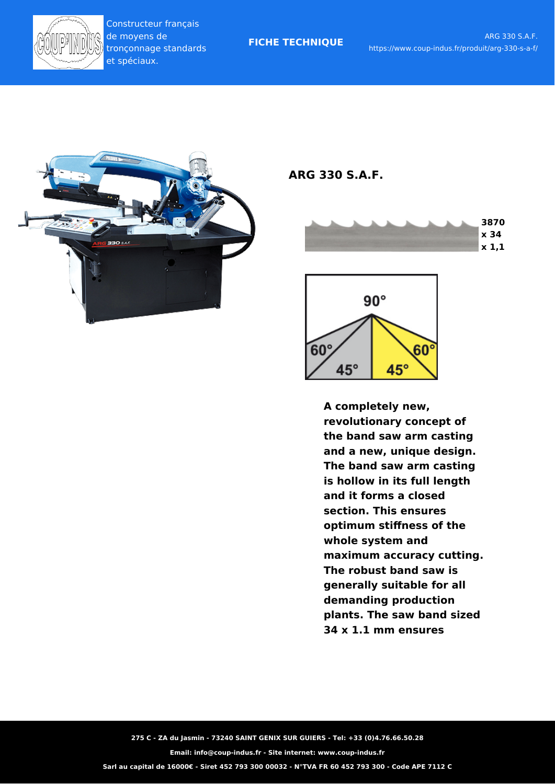

**FICHE TECHNIQUE**



**ARG 330 S.A.F.**





**A completely new, revolutionary concept of the band saw arm casting and a new, unique design. The band saw arm casting is hollow in its full length and it forms a closed section. This ensures optimum stiffness of the whole system and maximum accuracy cutting. The robust band saw is generally suitable for all demanding production plants. The saw band sized 34 x 1.1 mm ensures**

**275 C - ZA du Jasmin - 73240 SAINT GENIX SUR GUIERS - Tel: +33 (0)4.76.66.50.28**

**Email: info@coup-indus.fr - Site internet: www.coup-indus.fr**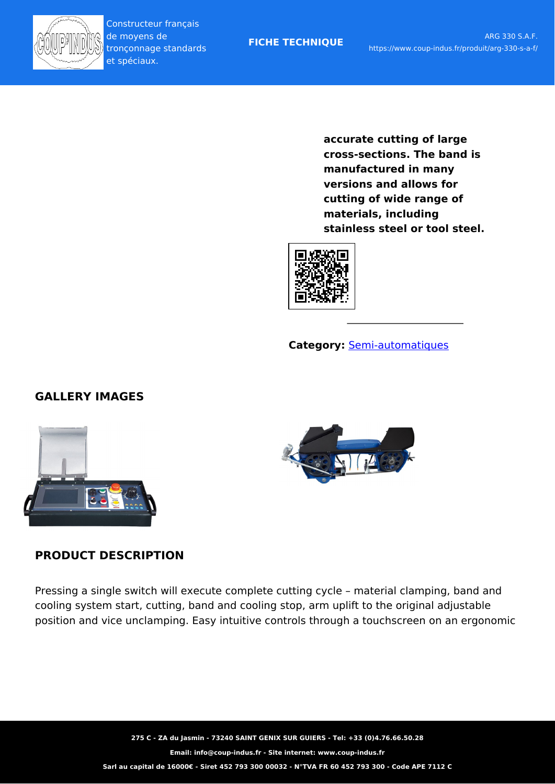

**FICHE TECHNIQUE**

**accurate cutting of large cross-sections. The band is manufactured in many versions and allows for cutting of wide range of materials, including stainless steel or tool steel.**



## **Category:** [Semi-automatiques](https://www.coup-indus.fr/categorie-produit/scie-a-ruban-horizontales-pilous/scies-a-ruban-semi-automatiques/)

# **GALLERY IMAGES**



## **PRODUCT DESCRIPTION**

Pressing a single switch will execute complete cutting cycle – material clamping, band and cooling system start, cutting, band and cooling stop, arm uplift to the original adjustable position and vice unclamping. Easy intuitive controls through a touchscreen on an ergonomic

> **275 C - ZA du Jasmin - 73240 SAINT GENIX SUR GUIERS - Tel: +33 (0)4.76.66.50.28 Email: info@coup-indus.fr - Site internet: www.coup-indus.fr Sarl au capital de 16000€ - Siret 452 793 300 00032 - N°TVA FR 60 452 793 300 - Code APE 7112 C**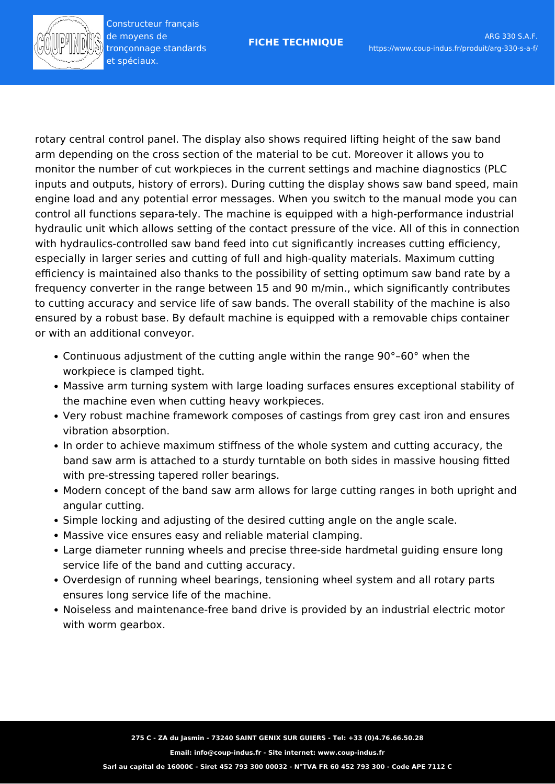rotary central control panel. The display also shows required lifting height of the saw band arm depending on the cross section of the material to be cut. Moreover it allows you to monitor the number of cut workpieces in the current settings and machine diagnostics (PLC inputs and outputs, history of errors). During cutting the display shows saw band speed, main engine load and any potential error messages. When you switch to the manual mode you can control all functions separa-tely. The machine is equipped with a high-performance industrial hydraulic unit which allows setting of the contact pressure of the vice. All of this in connection with hydraulics-controlled saw band feed into cut significantly increases cutting efficiency, especially in larger series and cutting of full and high-quality materials. Maximum cutting efficiency is maintained also thanks to the possibility of setting optimum saw band rate by a frequency converter in the range between 15 and 90 m/min., which significantly contributes to cutting accuracy and service life of saw bands. The overall stability of the machine is also ensured by a robust base. By default machine is equipped with a removable chips container or with an additional conveyor.

- Continuous adjustment of the cutting angle within the range 90°–60° when the workpiece is clamped tight.
- Massive arm turning system with large loading surfaces ensures exceptional stability of the machine even when cutting heavy workpieces.
- Very robust machine framework composes of castings from grey cast iron and ensures vibration absorption.
- In order to achieve maximum stiffness of the whole system and cutting accuracy, the band saw arm is attached to a sturdy turntable on both sides in massive housing fitted with pre-stressing tapered roller bearings.
- Modern concept of the band saw arm allows for large cutting ranges in both upright and angular cutting.
- Simple locking and adjusting of the desired cutting angle on the angle scale.
- Massive vice ensures easy and reliable material clamping.
- Large diameter running wheels and precise three-side hardmetal guiding ensure long service life of the band and cutting accuracy.
- Overdesign of running wheel bearings, tensioning wheel system and all rotary parts ensures long service life of the machine.
- Noiseless and maintenance-free band drive is provided by an industrial electric motor with worm gearbox.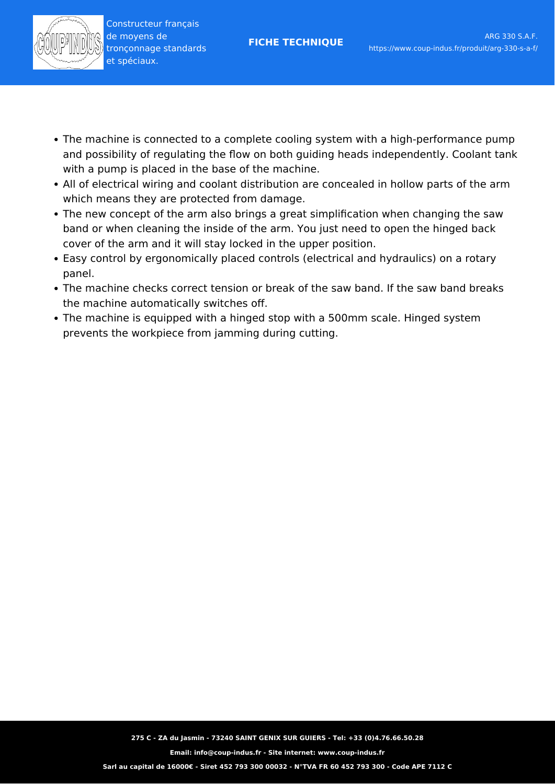- The machine is connected to a complete cooling system with a high-performance pump and possibility of regulating the flow on both guiding heads independently. Coolant tank with a pump is placed in the base of the machine.
- All of electrical wiring and coolant distribution are concealed in hollow parts of the arm which means they are protected from damage.
- The new concept of the arm also brings a great simplification when changing the saw band or when cleaning the inside of the arm. You just need to open the hinged back cover of the arm and it will stay locked in the upper position.
- Easy control by ergonomically placed controls (electrical and hydraulics) on a rotary panel.
- The machine checks correct tension or break of the saw band. If the saw band breaks the machine automatically switches off.
- The machine is equipped with a hinged stop with a 500mm scale. Hinged system prevents the workpiece from jamming during cutting.

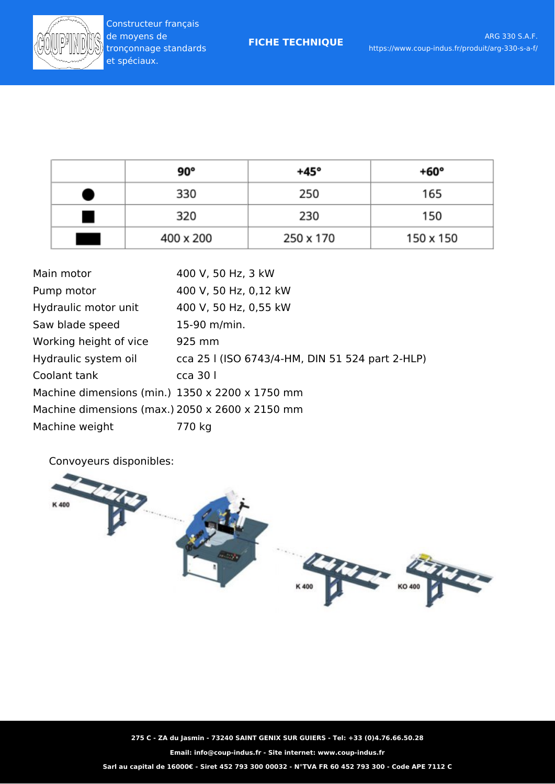| 90°       | +45°      | +60°      |
|-----------|-----------|-----------|
| 330       | 250       | 165       |
| 320       | 230       | 150       |
| 400 x 200 | 250 x 170 | 150 x 150 |

| Main motor                                      | 400 V, 50 Hz, 3 kW                              |  |  |
|-------------------------------------------------|-------------------------------------------------|--|--|
| Pump motor                                      | 400 V, 50 Hz, 0,12 kW                           |  |  |
| Hydraulic motor unit                            | 400 V, 50 Hz, 0,55 kW                           |  |  |
| Saw blade speed                                 | 15-90 m/min.                                    |  |  |
| Working height of vice                          | 925 mm                                          |  |  |
| Hydraulic system oil                            | cca 25 l (ISO 6743/4-HM, DIN 51 524 part 2-HLP) |  |  |
| Coolant tank                                    | $cca$ 30 $\vert$                                |  |  |
| Machine dimensions (min.) 1350 x 2200 x 1750 mm |                                                 |  |  |
| Machine dimensions (max.) 2050 x 2600 x 2150 mm |                                                 |  |  |
| Machine weight                                  | 770 kg                                          |  |  |

Convoyeurs disponibles:



**275 C - ZA du Jasmin - 73240 SAINT GENIX SUR GUIERS - Tel: +33 (0)4.76.66.50.28**

**Email: info@coup-indus.fr - Site internet: www.coup-indus.fr**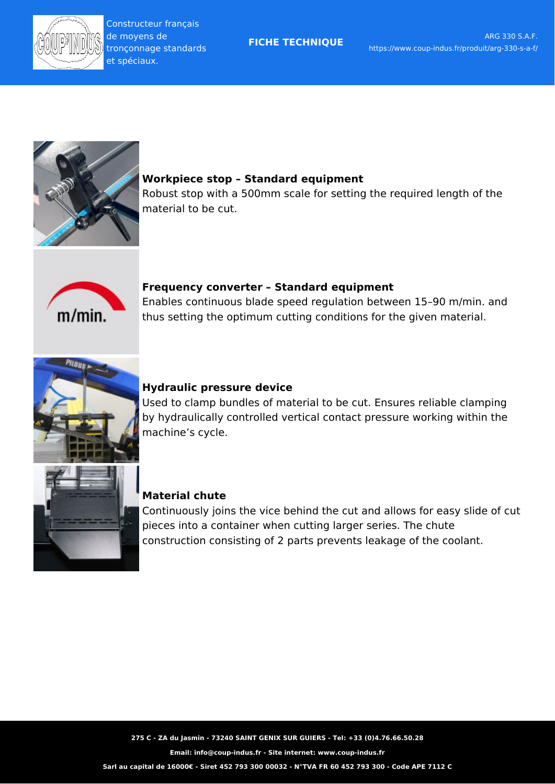



#### **Workpiece stop – Standard equipment**

Robust stop with a 500mm scale for setting the required length of the material to be cut.



#### **Frequency converter – Standard equipment**

Enables continuous blade speed regulation between 15–90 m/min. and thus setting the optimum cutting conditions for the given material.



#### **Hydraulic pressure device**

Used to clamp bundles of material to be cut. Ensures reliable clamping by hydraulically controlled vertical contact pressure working within the machine's cycle.



#### **Material chute**

Continuously joins the vice behind the cut and allows for easy slide of cut pieces into a container when cutting larger series. The chute construction consisting of 2 parts prevents leakage of the coolant.

**275 C - ZA du Jasmin - 73240 SAINT GENIX SUR GUIERS - Tel: +33 (0)4.76.66.50.28**

**Email: info@coup-indus.fr - Site internet: www.coup-indus.fr**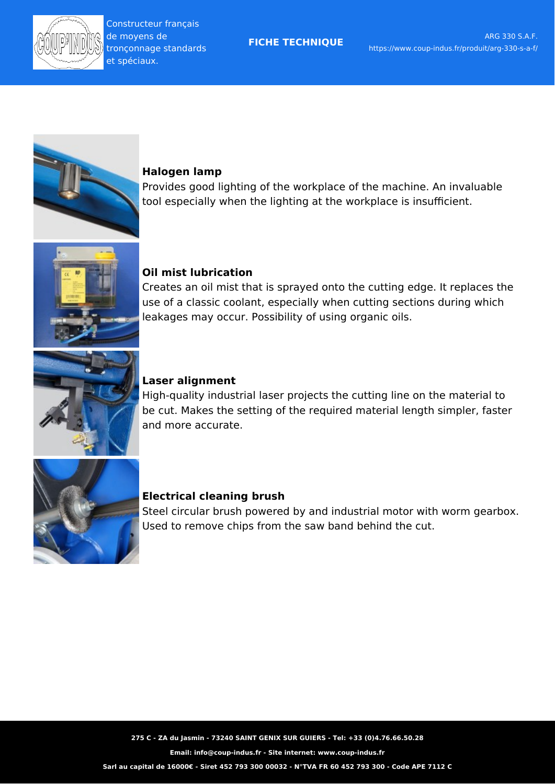



#### **Halogen lamp**

Provides good lighting of the workplace of the machine. An invaluable tool especially when the lighting at the workplace is insufficient.



#### **Oil mist lubrication**

Creates an oil mist that is sprayed onto the cutting edge. It replaces the use of a classic coolant, especially when cutting sections during which leakages may occur. Possibility of using organic oils.



#### **Laser alignment**

High-quality industrial laser projects the cutting line on the material to be cut. Makes the setting of the required material length simpler, faster and more accurate.



#### **Electrical cleaning brush**

Steel circular brush powered by and industrial motor with worm gearbox. Used to remove chips from the saw band behind the cut.

**275 C - ZA du Jasmin - 73240 SAINT GENIX SUR GUIERS - Tel: +33 (0)4.76.66.50.28**

**Email: info@coup-indus.fr - Site internet: www.coup-indus.fr**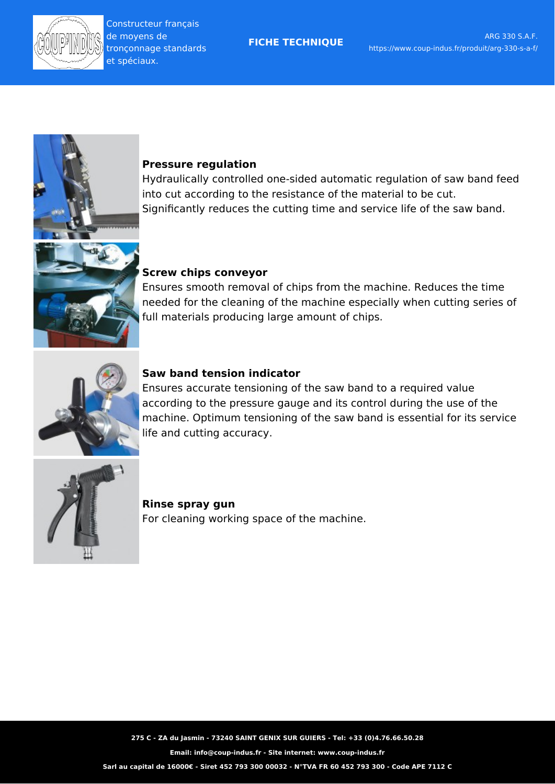

#### **Pressure regulation**

Hydraulically controlled one-sided automatic regulation of saw band feed into cut according to the resistance of the material to be cut. Significantly reduces the cutting time and service life of the saw band.

## **Screw chips conveyor**

Ensures smooth removal of chips from the machine. Reduces the time needed for the cleaning of the machine especially when cutting series of full materials producing large amount of chips.



## **Saw band tension indicator**

Ensures accurate tensioning of the saw band to a required value according to the pressure gauge and its control during the use of the machine. Optimum tensioning of the saw band is essential for its service life and cutting accuracy.



## **Rinse spray gun** For cleaning working space of the machine.

**275 C - ZA du Jasmin - 73240 SAINT GENIX SUR GUIERS - Tel: +33 (0)4.76.66.50.28**

**Email: info@coup-indus.fr - Site internet: www.coup-indus.fr**